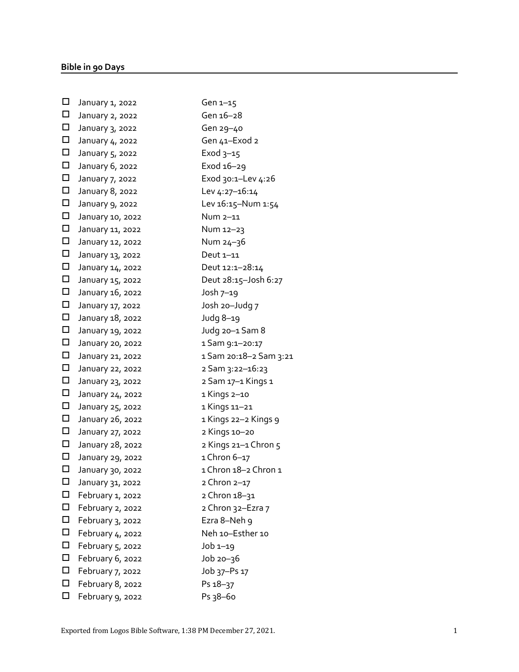| $\Box$ | January 1, 2022  | Gen $1-15$             |
|--------|------------------|------------------------|
| $\Box$ | January 2, 2022  | Gen 16-28              |
| $\Box$ | January 3, 2022  | Gen 29-40              |
| $\Box$ | January 4, 2022  | Gen 41–Exod 2          |
| $\Box$ | January 5, 2022  | Exod $3-15$            |
| $\Box$ | January 6, 2022  | Exod 16-29             |
| $\Box$ | January 7, 2022  | Exod 30:1-Lev 4:26     |
| $\Box$ | January 8, 2022  | Lev 4:27-16:14         |
| $\Box$ | January 9, 2022  | Lev 16:15-Num 1:54     |
| $\Box$ | January 10, 2022 | Num 2–11               |
| $\Box$ | January 11, 2022 | Num 12-23              |
| $\Box$ | January 12, 2022 | Num 24-36              |
| $\Box$ | January 13, 2022 | Deut 1-11              |
| $\Box$ | January 14, 2022 | Deut 12:1-28:14        |
| $\Box$ | January 15, 2022 | Deut 28:15-Josh 6:27   |
| $\Box$ | January 16, 2022 | Josh $7-19$            |
| $\Box$ | January 17, 2022 | Josh 20-Judg 7         |
| $\Box$ | January 18, 2022 | Judg 8-19              |
| $\Box$ | January 19, 2022 | Judg 20-1 Sam 8        |
| $\Box$ | January 20, 2022 | 1 Sam 9:1-20:17        |
| $\Box$ | January 21, 2022 | 1 Sam 20:18–2 Sam 3:21 |
| $\Box$ | January 22, 2022 | 2 Sam 3:22-16:23       |
| $\Box$ | January 23, 2022 | 2 Sam 17–1 Kings 1     |
| $\Box$ | January 24, 2022 | 1 Kings 2-10           |
| $\Box$ | January 25, 2022 | 1 Kings 11–21          |
| $\Box$ | January 26, 2022 | 1 Kings 22-2 Kings 9   |
| $\Box$ | January 27, 2022 | 2 Kings 10-20          |
| $\Box$ | January 28, 2022 | 2 Kings 21-1 Chron 5   |
| $\Box$ | January 29, 2022 | 1 Chron 6-17           |
| □      | January 30, 2022 | 1 Chron 18-2 Chron 1   |
| □      | January 31, 2022 | 2 Chron 2-17           |
| $\Box$ | February 1, 2022 | 2 Chron 18-31          |
| $\Box$ | February 2, 2022 | 2 Chron 32-Ezra 7      |
| $\Box$ | February 3, 2022 | Ezra 8-Neh 9           |
| $\Box$ | February 4, 2022 | Neh 10-Esther 10       |
| $\Box$ | February 5, 2022 | $Job 1-19$             |
| $\Box$ | February 6, 2022 | $Job$ $20-36$          |
| $\Box$ | February 7, 2022 | Job 37-Ps 17           |
| $\Box$ | February 8, 2022 | Ps 18-37               |
| $\Box$ | February 9, 2022 | Ps 38-60               |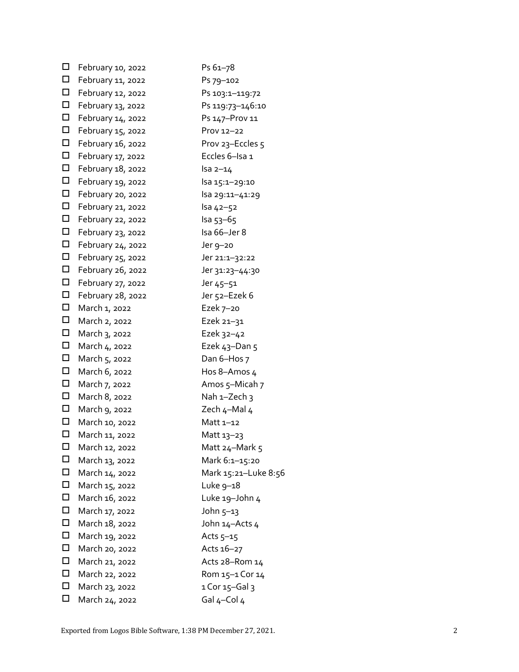| $\Box$ | February 10, 2022 | Ps 61-78             |
|--------|-------------------|----------------------|
| □      | February 11, 2022 | Ps 79-102            |
| $\Box$ | February 12, 2022 | Ps 103:1-119:72      |
| $\Box$ | February 13, 2022 | Ps 119:73-146:10     |
| $\Box$ | February 14, 2022 | Ps 147-Prov 11       |
| □      | February 15, 2022 | Prov 12-22           |
| $\Box$ | February 16, 2022 | Prov 23–Eccles 5     |
| □      | February 17, 2022 | Eccles 6-Isa 1       |
| $\Box$ | February 18, 2022 | $Isa 2-14$           |
| □      | February 19, 2022 | lsa 15:1-29:10       |
| $\Box$ | February 20, 2022 | lsa 29:11-41:29      |
| □      | February 21, 2022 | lsa 42-52            |
| □      | February 22, 2022 | lsa 53–65            |
|        | February 23, 2022 | Isa 66-Jer 8         |
| $\Box$ | February 24, 2022 | Jer 9–20             |
| □      | February 25, 2022 | Jer 21:1-32:22       |
| $\Box$ | February 26, 2022 | Jer 31:23–44:30      |
| $\Box$ | February 27, 2022 | Jer 45-51            |
| $\Box$ | February 28, 2022 | Jer 52–Ezek 6        |
| $\Box$ | March 1, 2022     | Ezek 7-20            |
| □      | March 2, 2022     | Ezek 21 $-31$        |
| $\Box$ | March 3, 2022     | Ezek 32-42           |
| $\Box$ | March 4, 2022     | Ezek 43-Dan 5        |
| $\Box$ | March 5, 2022     | Dan 6-Hos 7          |
| $\Box$ | March 6, 2022     | Hos 8-Amos 4         |
| $\Box$ | March 7, 2022     | Amos 5-Micah 7       |
| $\Box$ | March 8, 2022     | Nah $1-Zech$ 3       |
| □      | March 9, 2022     | Zech 4-Mal 4         |
| □      | March 10, 2022    | Matt 1–12            |
| □      | March 11, 2022    | Matt 13-23           |
| □      | March 12, 2022    | Matt 24-Mark 5       |
| □      | March 13, 2022    | Mark 6:1-15:20       |
| п      | March 14, 2022    | Mark 15:21-Luke 8:56 |
| □      | March 15, 2022    | Luke $9-18$          |
| □      | March 16, 2022    | Luke 19-John 4       |
| п      | March 17, 2022    | John 5-13            |
| □      | March 18, 2022    | John 14-Acts 4       |
| $\Box$ | March 19, 2022    | Acts $5-15$          |
| □      | March 20, 2022    | Acts 16-27           |
| $\Box$ | March 21, 2022    | Acts 28-Rom 14       |
| □      | March 22, 2022    | Rom 15–1 Cor 14      |
| □      | March 23, 2022    | $1$ Cor $15$ –Gal 3  |
| □      | March 24, 2022    | Gal $4$ -Col $4$     |